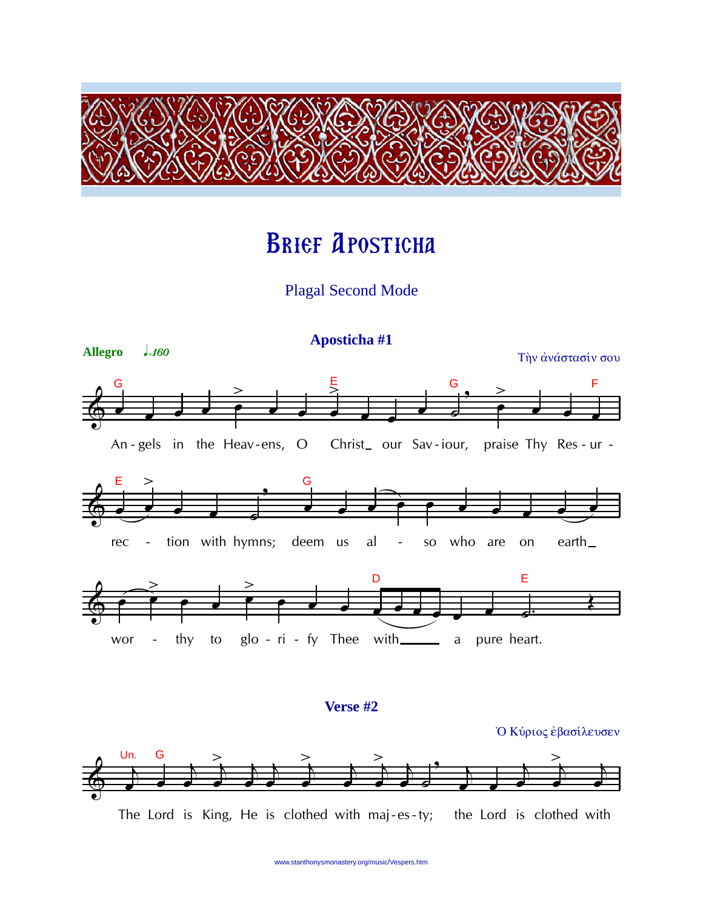

# **BRIEF APOSTICHA**

## **Plagal Second Mode**





The Lord is King, He is clothed with maj-es-ty; the Lord is clothed with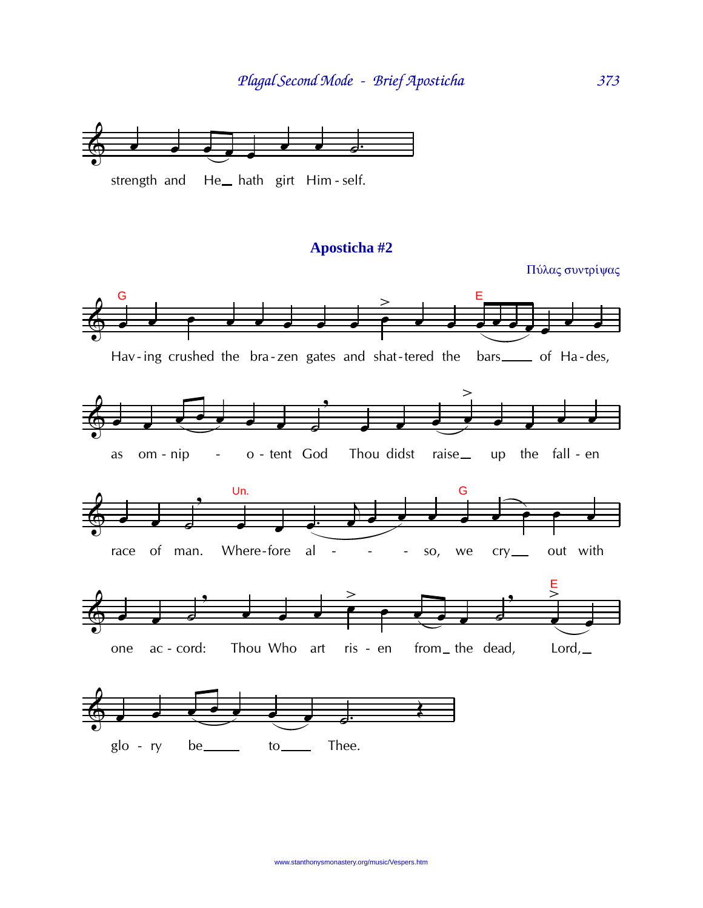

### Aposticha #2

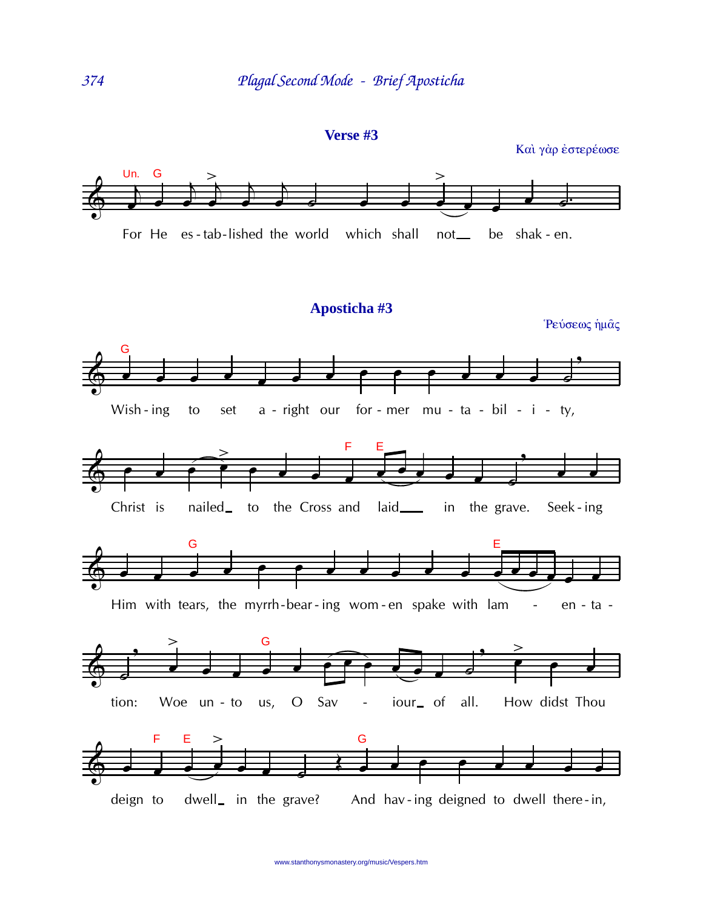

Και γάρ έστερέωσε



#### Aposticha #3

Ρεύσεως ήμας

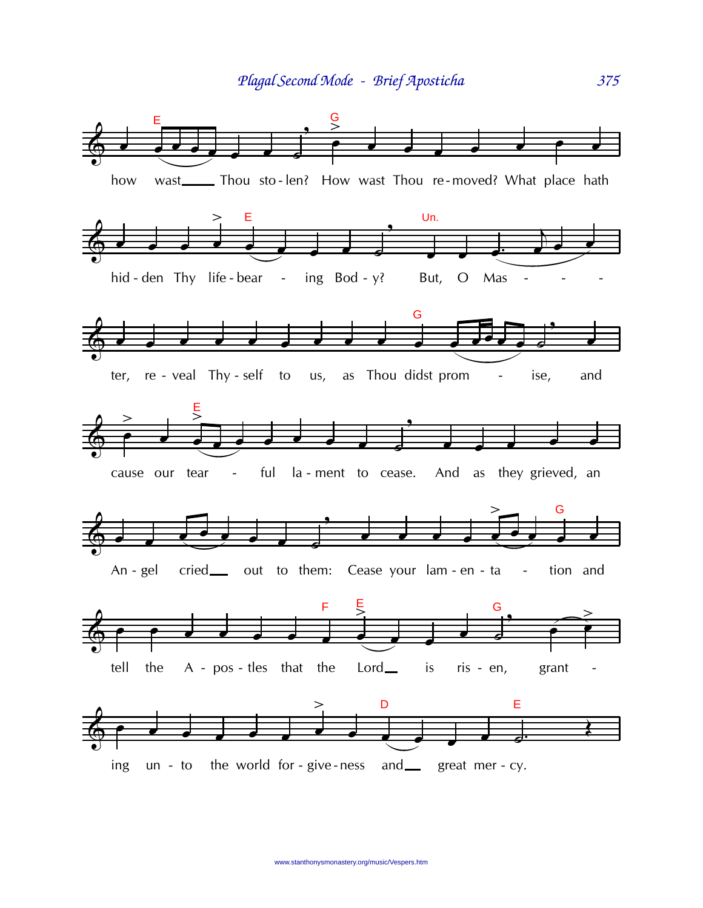

375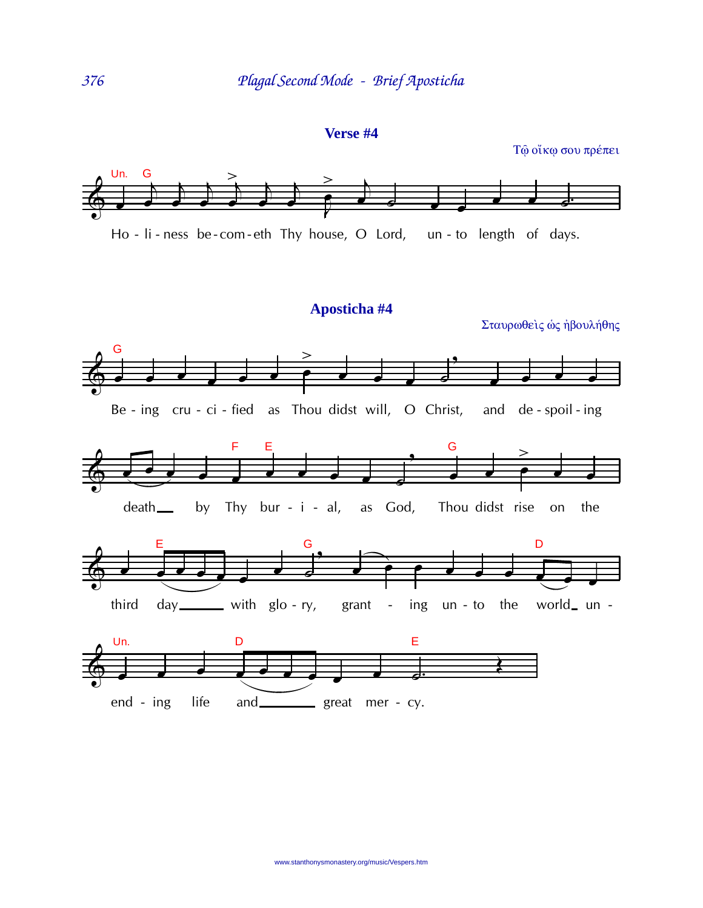#### Verse #4

Τώ οίκω σου πρέπει



#### Aposticha #4

Σταυρωθείς ως ήβουλήθης

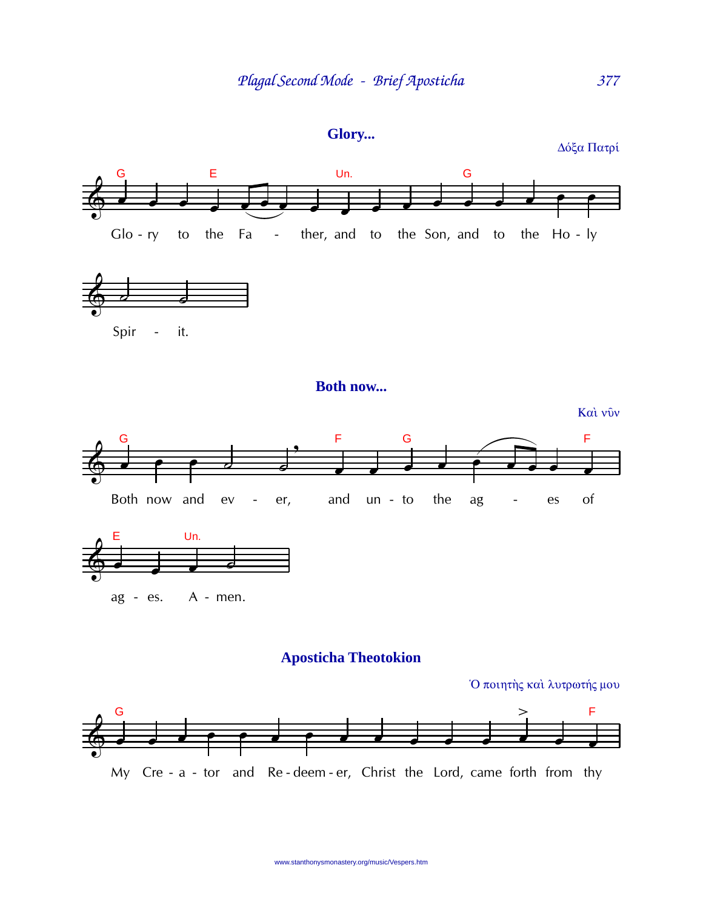

Δόξα Πατρί

377